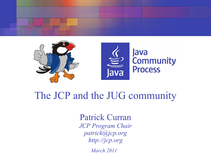





## The JCP and the JUG community

Patrick Curran *JCP Program Chair [patrick@jcp.org](mailto:patrick@jcp.org) http://jcp.org*

*March 2011*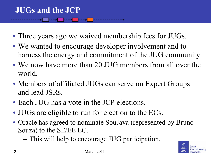#### **JUGs and the JCP**

- Three years ago we waived membership fees for JUGs.
- We wanted to encourage developer involvement and to harness the energy and commitment of the JUG community.
- We now have more than 20 JUG members from all over the world.
- Members of affiliated JUGs can serve on Expert Groups and lead JSRs.
- Each JUG has a vote in the JCP elections.
- JUGs are eligible to run for election to the ECs.
- Oracle has agreed to nominate SouJava (represented by Bruno Souza) to the SE/EE EC.
	- This will help to encourage JUG participation.

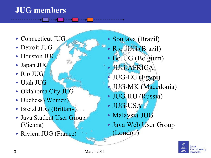### **JUG members**

- Connecticut JUG
- Detroit JUG
- Houston JUG
- Japan JUG
- Rio JUG
- Utah JUG
- Oklahoma City JUG
- Duchess (Women)
- BreizhJUG (Brittany).
- Java Student User Group (Vienna)
- Riviera JUG (France)
- SouJava (Brazil)
- Rio JUG (Brazil)
- BeJUG (Belgium)
- JUG-AFRICA
- JUG-EG (Egypt)
- JUG-MK (Macedonia)
- JUG-RU (Russia)
- JUG-USA
- Malaysia-JUG
- Java Web User Group (London)

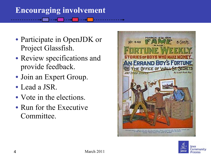#### **Encouraging involvement**

- Participate in OpenJDK or Project Glassfish.
- Review specifications and provide feedback.
- Join an Expert Group.
- Lead a JSR.
- Vote in the elections.
- Run for the Executive Committee.



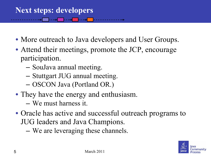#### **Next steps: developers**

- More outreach to Java developers and User Groups.
- Attend their meetings, promote the JCP, encourage participation.
	- SouJava annual meeting.
	- Stuttgart JUG annual meeting.
	- OSCON Java (Portland OR.)
- They have the energy and enthusiasm.
	- We must harness it.
- Oracle has active and successful outreach programs to JUG leaders and Java Champions.
	- We are leveraging these channels.